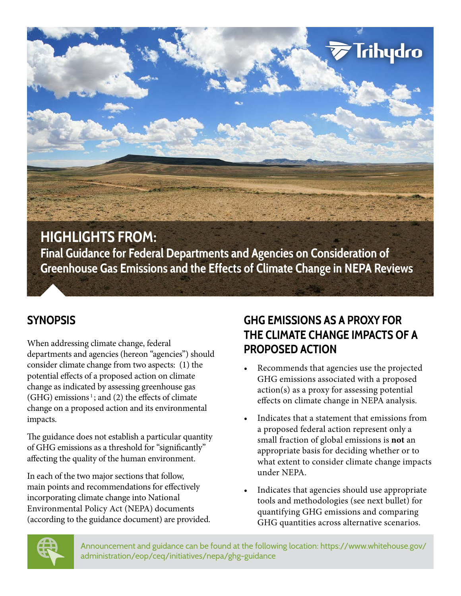

# **SYNOPSIS**

When addressing climate change, federal departments and agencies (hereon "agencies") should consider climate change from two aspects: (1) the potential effects of a proposed action on climate change as indicated by assessing greenhouse gas  $(GHG)$  emissions<sup>1</sup>; and (2) the effects of climate change on a proposed action and its environmental impacts.

The guidance does not establish a particular quantity of GHG emissions as a threshold for "significantly" affecting the quality of the human environment.

In each of the two major sections that follow, main points and recommendations for effectively incorporating climate change into National Environmental Policy Act (NEPA) documents (according to the guidance document) are provided.

## **GHG EMISSIONS AS A PROXY FOR THE CLIMATE CHANGE IMPACTS OF A PROPOSED ACTION**

- Recommends that agencies use the projected GHG emissions associated with a proposed action(s) as a proxy for assessing potential effects on climate change in NEPA analysis.
- Indicates that a statement that emissions from a proposed federal action represent only a small fraction of global emissions is **not** an appropriate basis for deciding whether or to what extent to consider climate change impacts under NEPA.
- Indicates that agencies should use appropriate tools and methodologies (see next bullet) for quantifying GHG emissions and comparing GHG quantities across alternative scenarios.



Announcement and guidance can be found at the following location: [https://www.whitehouse.gov/](https://www.whitehouse.gov/administration/eop/ceq/initiatives/nepa/ghg-guidance) [administration/eop/ceq/initiatives/nepa/ghg-guidance](https://www.whitehouse.gov/administration/eop/ceq/initiatives/nepa/ghg-guidance)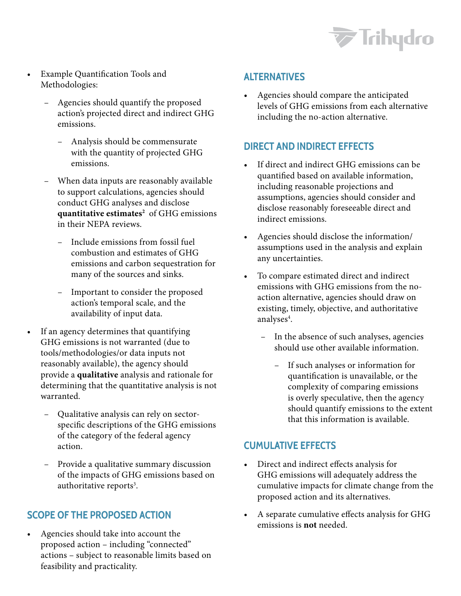

- Example Quantification Tools and Methodologies:
	- Agencies should quantify the proposed action's projected direct and indirect GHG emissions.
		- Analysis should be commensurate with the quantity of projected GHG emissions.
	- When data inputs are reasonably available to support calculations, agencies should conduct GHG analyses and disclose **quantitative estimates2** of GHG emissions in their NEPA reviews.
		- Include emissions from fossil fuel combustion and estimates of GHG emissions and carbon sequestration for many of the sources and sinks.
		- Important to consider the proposed action's temporal scale, and the availability of input data.
- If an agency determines that quantifying GHG emissions is not warranted (due to tools/methodologies/or data inputs not reasonably available), the agency should provide a **qualitative** analysis and rationale for determining that the quantitative analysis is not warranted.
	- Qualitative analysis can rely on sectorspecific descriptions of the GHG emissions of the category of the federal agency action.
	- Provide a qualitative summary discussion of the impacts of GHG emissions based on authoritative reports<sup>3</sup>.

#### **SCOPE OF THE PROPOSED ACTION**

• Agencies should take into account the proposed action – including "connected" actions – subject to reasonable limits based on feasibility and practicality.

### **ALTERNATIVES**

• Agencies should compare the anticipated levels of GHG emissions from each alternative including the no-action alternative.

### **DIRECT AND INDIRECT EFFECTS**

- If direct and indirect GHG emissions can be quantified based on available information, including reasonable projections and assumptions, agencies should consider and disclose reasonably foreseeable direct and indirect emissions.
- Agencies should disclose the information/ assumptions used in the analysis and explain any uncertainties.
- To compare estimated direct and indirect emissions with GHG emissions from the noaction alternative, agencies should draw on existing, timely, objective, and authoritative analyses<sup>4</sup>.
	- In the absence of such analyses, agencies should use other available information.
		- If such analyses or information for quantification is unavailable, or the complexity of comparing emissions is overly speculative, then the agency should quantify emissions to the extent that this information is available.

### **CUMULATIVE EFFECTS**

- Direct and indirect effects analysis for GHG emissions will adequately address the cumulative impacts for climate change from the proposed action and its alternatives.
- A separate cumulative effects analysis for GHG emissions is **not** needed.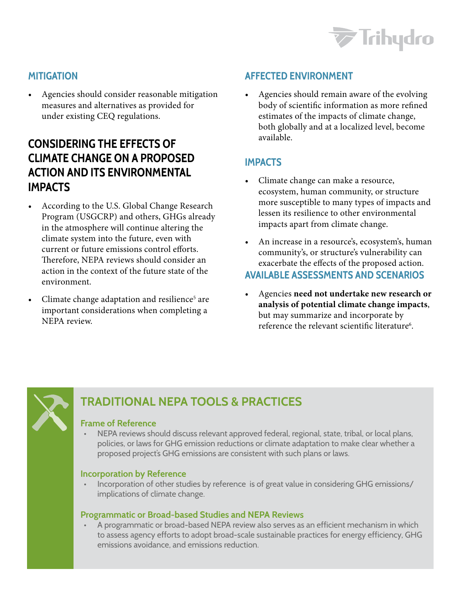

### **MITIGATION**

• Agencies should consider reasonable mitigation measures and alternatives as provided for under existing CEQ regulations.

### **CONSIDERING THE EFFECTS OF CLIMATE CHANGE ON A PROPOSED ACTION AND ITS ENVIRONMENTAL IMPACTS**

- According to the U.S. Global Change Research Program (USGCRP) and others, GHGs already in the atmosphere will continue altering the climate system into the future, even with current or future emissions control efforts. Therefore, NEPA reviews should consider an action in the context of the future state of the environment.
- Climate change adaptation and resilience<sup>5</sup> are important considerations when completing a NEPA review.

### **AFFECTED ENVIRONMENT**

• Agencies should remain aware of the evolving body of scientific information as more refined estimates of the impacts of climate change, both globally and at a localized level, become available.

### **IMPACTS**

- Climate change can make a resource, ecosystem, human community, or structure more susceptible to many types of impacts and lessen its resilience to other environmental impacts apart from climate change.
- An increase in a resource's, ecosystem's, human community's, or structure's vulnerability can exacerbate the effects of the proposed action. **AVAILABLE ASSESSMENTS AND SCENARIOS**
- Agencies **need not undertake new research or analysis of potential climate change impacts**, but may summarize and incorporate by reference the relevant scientific literature<sup>6</sup>.



## **TRADITIONAL NEPA TOOLS & PRACTICES**

#### **Frame of Reference**

• NEPA reviews should discuss relevant approved federal, regional, state, tribal, or local plans, policies, or laws for GHG emission reductions or climate adaptation to make clear whether a proposed project's GHG emissions are consistent with such plans or laws.

#### **Incorporation by Reference**

• Incorporation of other studies by reference is of great value in considering GHG emissions/ implications of climate change.

#### **Programmatic or Broad-based Studies and NEPA Reviews**

• A programmatic or broad-based NEPA review also serves as an efficient mechanism in which to assess agency efforts to adopt broad-scale sustainable practices for energy efficiency, GHG emissions avoidance, and emissions reduction.